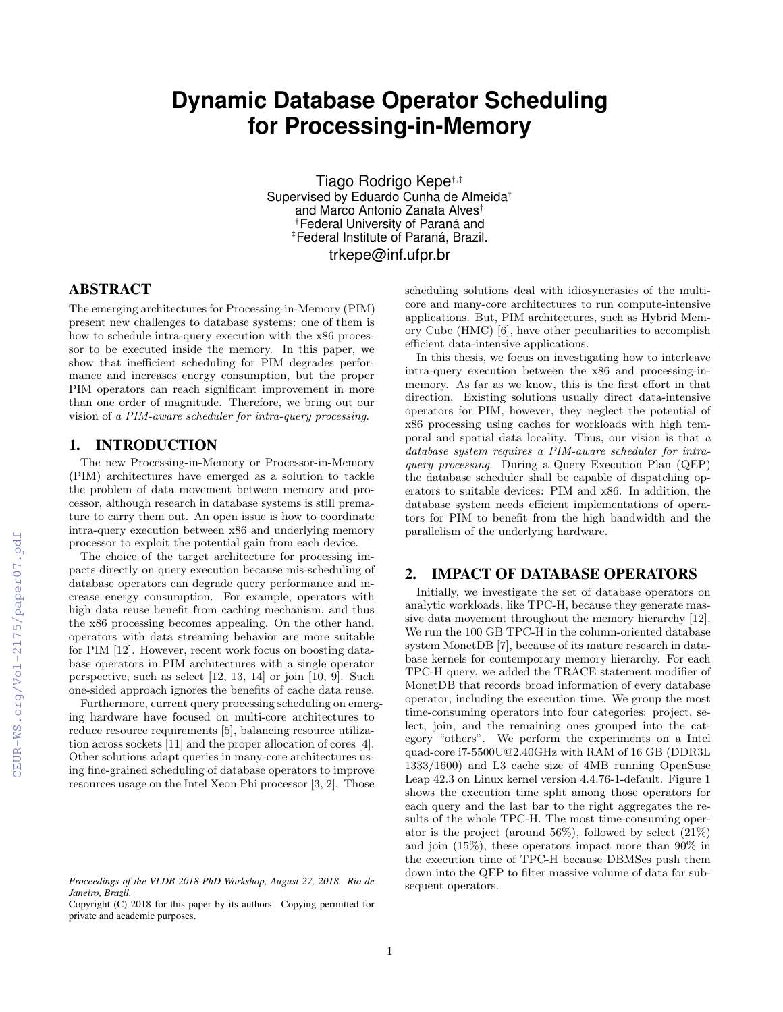# **Dynamic Database Operator Scheduling for Processing-in-Memory**

Tiago Rodrigo Kepe†,‡ Supervised by Eduardo Cunha de Almeida<sup>†</sup> and Marco Antonio Zanata Alves† <sup>†</sup>Federal University of Paraná and ‡Federal Institute of Paraná, Brazil. trkepe@inf.ufpr.br

# ABSTRACT

The emerging architectures for Processing-in-Memory (PIM) present new challenges to database systems: one of them is how to schedule intra-query execution with the x86 processor to be executed inside the memory. In this paper, we show that inefficient scheduling for PIM degrades performance and increases energy consumption, but the proper PIM operators can reach significant improvement in more than one order of magnitude. Therefore, we bring out our vision of a PIM-aware scheduler for intra-query processing.

## 1. INTRODUCTION

The new Processing-in-Memory or Processor-in-Memory (PIM) architectures have emerged as a solution to tackle the problem of data movement between memory and processor, although research in database systems is still premature to carry them out. An open issue is how to coordinate intra-query execution between x86 and underlying memory processor to exploit the potential gain from each device.

The choice of the target architecture for processing impacts directly on query execution because mis-scheduling of database operators can degrade query performance and increase energy consumption. For example, operators with high data reuse benefit from caching mechanism, and thus the x86 processing becomes appealing. On the other hand, operators with data streaming behavior are more suitable for PIM [12]. However, recent work focus on boosting database operators in PIM architectures with a single operator perspective, such as select [12, 13, 14] or join [10, 9]. Such one-sided approach ignores the benefits of cache data reuse.

Furthermore, current query processing scheduling on emerging hardware have focused on multi-core architectures to reduce resource requirements [5], balancing resource utilization across sockets [11] and the proper allocation of cores [4]. Other solutions adapt queries in many-core architectures using fine-grained scheduling of database operators to improve resources usage on the Intel Xeon Phi processor [3, 2]. Those

scheduling solutions deal with idiosyncrasies of the multicore and many-core architectures to run compute-intensive applications. But, PIM architectures, such as Hybrid Memory Cube (HMC) [6], have other peculiarities to accomplish efficient data-intensive applications.

In this thesis, we focus on investigating how to interleave intra-query execution between the x86 and processing-inmemory. As far as we know, this is the first effort in that direction. Existing solutions usually direct data-intensive operators for PIM, however, they neglect the potential of x86 processing using caches for workloads with high temporal and spatial data locality. Thus, our vision is that a database system requires a PIM-aware scheduler for intraquery processing. During a Query Execution Plan (QEP) the database scheduler shall be capable of dispatching operators to suitable devices: PIM and x86. In addition, the database system needs efficient implementations of operators for PIM to benefit from the high bandwidth and the parallelism of the underlying hardware.

## 2. IMPACT OF DATABASE OPERATORS

Initially, we investigate the set of database operators on analytic workloads, like TPC-H, because they generate massive data movement throughout the memory hierarchy [12]. We run the 100 GB TPC-H in the column-oriented database system MonetDB [7], because of its mature research in database kernels for contemporary memory hierarchy. For each TPC-H query, we added the TRACE statement modifier of MonetDB that records broad information of every database operator, including the execution time. We group the most time-consuming operators into four categories: project, select, join, and the remaining ones grouped into the category "others". We perform the experiments on a Intel quad-core i7-5500U@2.40GHz with RAM of 16 GB (DDR3L 1333/1600) and L3 cache size of 4MB running OpenSuse Leap 42.3 on Linux kernel version 4.4.76-1-default. Figure 1 shows the execution time split among those operators for each query and the last bar to the right aggregates the results of the whole TPC-H. The most time-consuming operator is the project (around 56%), followed by select (21%) and join (15%), these operators impact more than 90% in the execution time of TPC-H because DBMSes push them down into the QEP to filter massive volume of data for subsequent operators.

*Proceedings of the VLDB 2018 PhD Workshop, August 27, 2018. Rio de Janeiro, Brazil.*

Copyright (C) 2018 for this paper by its authors. Copying permitted for private and academic purposes.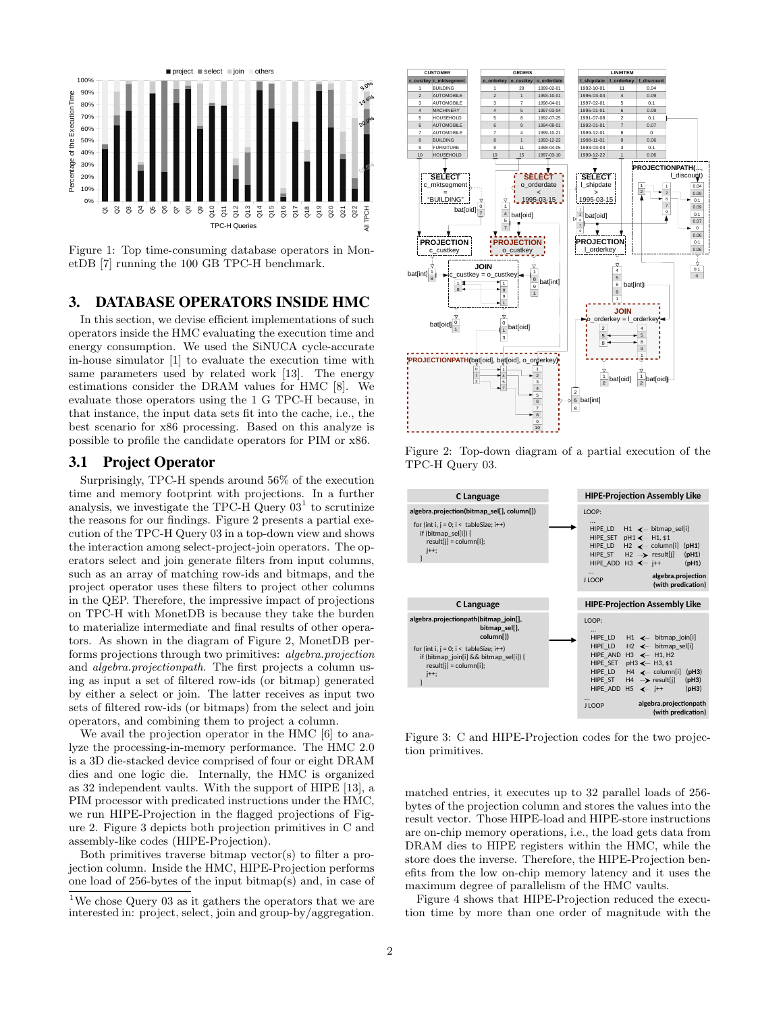

Figure 1: Top time-consuming database operators in MonetDB [7] running the 100 GB TPC-H benchmark.

# 3. DATABASE OPERATORS INSIDE HMC

In this section, we devise efficient implementations of such operators inside the HMC evaluating the execution time and energy consumption. We used the SiNUCA cycle-accurate in-house simulator [1] to evaluate the execution time with same parameters used by related work [13]. The energy estimations consider the DRAM values for HMC [8]. We evaluate those operators using the 1 G TPC-H because, in that instance, the input data sets fit into the cache, i.e., the best scenario for x86 processing. Based on this analyze is possible to profile the candidate operators for PIM or x86.

## 3.1 Project Operator

Surprisingly, TPC-H spends around 56% of the execution time and memory footprint with projections. In a further analysis, we investigate the TPC-H Query  $03<sup>1</sup>$  to scrutinize the reasons for our findings. Figure 2 presents a partial execution of the TPC-H Query 03 in a top-down view and shows the interaction among select-project-join operators. The operators select and join generate filters from input columns, such as an array of matching row-ids and bitmaps, and the project operator uses these filters to project other columns in the QEP. Therefore, the impressive impact of projections on TPC-H with MonetDB is because they take the burden to materialize intermediate and final results of other operators. As shown in the diagram of Figure 2, MonetDB performs projections through two primitives: algebra.projection and algebra.projectionpath. The first projects a column using as input a set of filtered row-ids (or bitmap) generated by either a select or join. The latter receives as input two sets of filtered row-ids (or bitmaps) from the select and join operators, and combining them to project a column.

We avail the projection operator in the HMC [6] to analyze the processing-in-memory performance. The HMC 2.0 is a 3D die-stacked device comprised of four or eight DRAM dies and one logic die. Internally, the HMC is organized as 32 independent vaults. With the support of HIPE [13], a PIM processor with predicated instructions under the HMC, we run HIPE-Projection in the flagged projections of Figure 2. Figure 3 depicts both projection primitives in C and assembly-like codes (HIPE-Projection).

Both primitives traverse bitmap vector(s) to filter a projection column. Inside the HMC, HIPE-Projection performs one load of 256-bytes of the input bitmap(s) and, in case of



Figure 2: Top-down diagram of a partial execution of the TPC-H Query 03.



Figure 3: C and HIPE-Projection codes for the two projection primitives.

matched entries, it executes up to 32 parallel loads of 256 bytes of the projection column and stores the values into the result vector. Those HIPE-load and HIPE-store instructions are on-chip memory operations, i.e., the load gets data from DRAM dies to HIPE registers within the HMC, while the store does the inverse. Therefore, the HIPE-Projection benefits from the low on-chip memory latency and it uses the maximum degree of parallelism of the HMC vaults.

Figure 4 shows that HIPE-Projection reduced the execution time by more than one order of magnitude with the

<sup>&</sup>lt;sup>1</sup>We chose Query 03 as it gathers the operators that we are interested in: project, select, join and group-by/aggregation.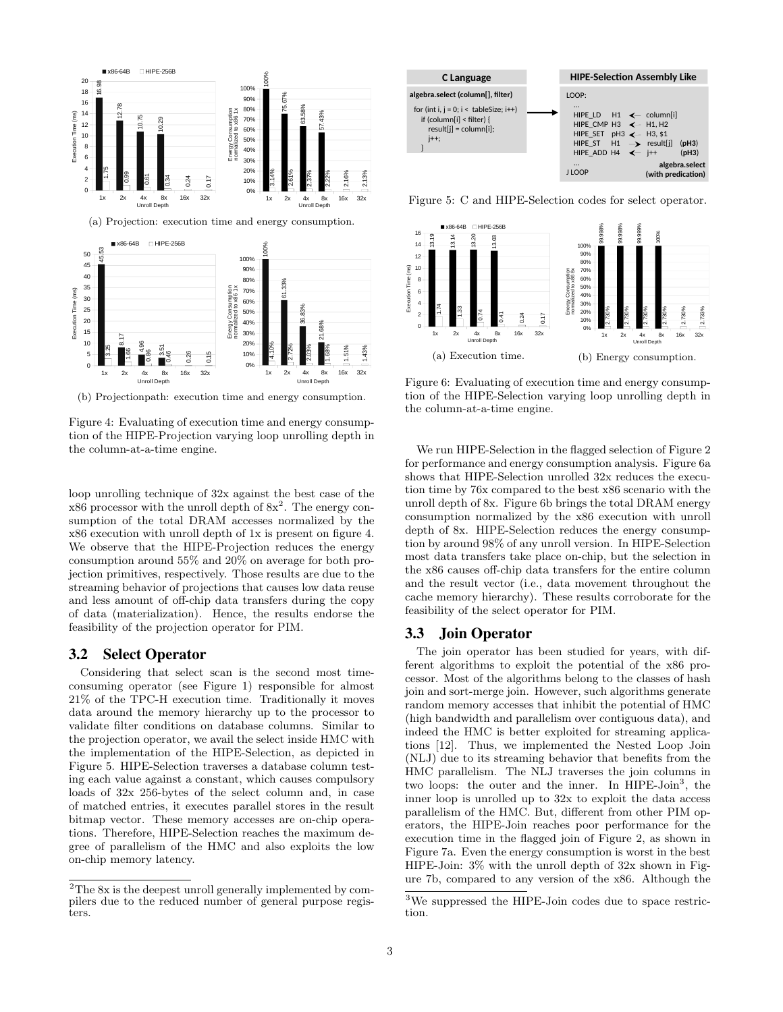

(b) Projectionpath: execution time and energy consumption.

Figure 4: Evaluating of execution time and energy consumption of the HIPE-Projection varying loop unrolling depth in the column-at-a-time engine.

loop unrolling technique of 32x against the best case of the  $x86$  processor with the unroll depth of  $8x^2$ . The energy consumption of the total DRAM accesses normalized by the x86 execution with unroll depth of 1x is present on figure 4. We observe that the HIPE-Projection reduces the energy consumption around 55% and 20% on average for both projection primitives, respectively. Those results are due to the streaming behavior of projections that causes low data reuse and less amount of off-chip data transfers during the copy of data (materialization). Hence, the results endorse the feasibility of the projection operator for PIM.

#### 3.2 Select Operator

Considering that select scan is the second most timeconsuming operator (see Figure 1) responsible for almost 21% of the TPC-H execution time. Traditionally it moves data around the memory hierarchy up to the processor to validate filter conditions on database columns. Similar to the projection operator, we avail the select inside HMC with the implementation of the HIPE-Selection, as depicted in Figure 5. HIPE-Selection traverses a database column testing each value against a constant, which causes compulsory loads of 32x 256-bytes of the select column and, in case of matched entries, it executes parallel stores in the result bitmap vector. These memory accesses are on-chip operations. Therefore, HIPE-Selection reaches the maximum degree of parallelism of the HMC and also exploits the low on-chip memory latency.



Figure 5: C and HIPE-Selection codes for select operator.



Figure 6: Evaluating of execution time and energy consumption of the HIPE-Selection varying loop unrolling depth in the column-at-a-time engine.

We run HIPE-Selection in the flagged selection of Figure 2 for performance and energy consumption analysis. Figure 6a shows that HIPE-Selection unrolled 32x reduces the execution time by 76x compared to the best x86 scenario with the unroll depth of 8x. Figure 6b brings the total DRAM energy consumption normalized by the x86 execution with unroll depth of 8x. HIPE-Selection reduces the energy consumption by around 98% of any unroll version. In HIPE-Selection most data transfers take place on-chip, but the selection in the x86 causes off-chip data transfers for the entire column and the result vector (i.e., data movement throughout the cache memory hierarchy). These results corroborate for the feasibility of the select operator for PIM.

## 3.3 Join Operator

The join operator has been studied for years, with different algorithms to exploit the potential of the x86 processor. Most of the algorithms belong to the classes of hash join and sort-merge join. However, such algorithms generate random memory accesses that inhibit the potential of HMC (high bandwidth and parallelism over contiguous data), and indeed the HMC is better exploited for streaming applications [12]. Thus, we implemented the Nested Loop Join (NLJ) due to its streaming behavior that benefits from the HMC parallelism. The NLJ traverses the join columns in two loops: the outer and the inner. In HIPE-Join<sup>3</sup>, the inner loop is unrolled up to 32x to exploit the data access parallelism of the HMC. But, different from other PIM operators, the HIPE-Join reaches poor performance for the execution time in the flagged join of Figure 2, as shown in Figure 7a. Even the energy consumption is worst in the best HIPE-Join: 3% with the unroll depth of 32x shown in Figure 7b, compared to any version of the x86. Although the

 $\rm{^2The\;8x}$  is the deepest unroll generally implemented by compilers due to the reduced number of general purpose registers.

<sup>3</sup>We suppressed the HIPE-Join codes due to space restriction.